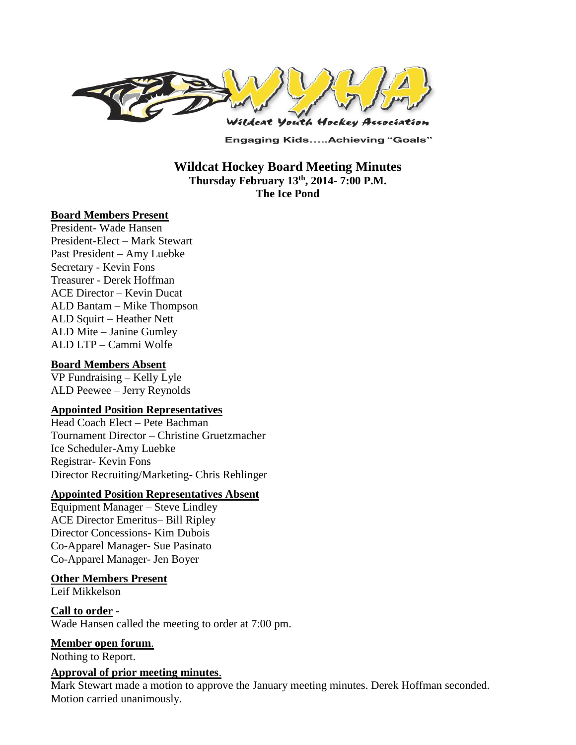

**Engaging Kids.....Achieving "Goals"** 

**Wildcat Hockey Board Meeting Minutes Thursday February 13th , 2014- 7:00 P.M. The Ice Pond**

### **Board Members Present**

President- Wade Hansen President-Elect – Mark Stewart Past President – Amy Luebke Secretary - Kevin Fons Treasurer - Derek Hoffman ACE Director – Kevin Ducat ALD Bantam – Mike Thompson ALD Squirt – Heather Nett ALD Mite – Janine Gumley ALD LTP – Cammi Wolfe

#### **Board Members Absent**

VP Fundraising – Kelly Lyle ALD Peewee – Jerry Reynolds

#### **Appointed Position Representatives**

Head Coach Elect – Pete Bachman Tournament Director – Christine Gruetzmacher Ice Scheduler-Amy Luebke Registrar- Kevin Fons Director Recruiting/Marketing- Chris Rehlinger

### **Appointed Position Representatives Absent**

Equipment Manager – Steve Lindley ACE Director Emeritus– Bill Ripley Director Concessions- Kim Dubois Co-Apparel Manager- Sue Pasinato Co-Apparel Manager- Jen Boyer

#### **Other Members Present**

Leif Mikkelson

#### **Call to order** - Wade Hansen called the meeting to order at 7:00 pm.

**Member open forum**.

Nothing to Report.

#### **Approval of prior meeting minutes**.

Mark Stewart made a motion to approve the January meeting minutes. Derek Hoffman seconded. Motion carried unanimously.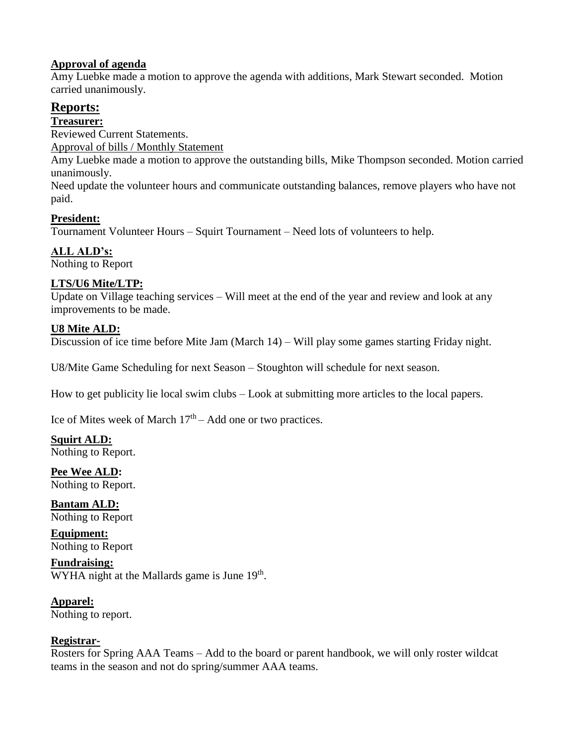## **Approval of agenda**

Amy Luebke made a motion to approve the agenda with additions, Mark Stewart seconded. Motion carried unanimously.

# **Reports:**

**Treasurer:** 

Reviewed Current Statements.

Approval of bills / Monthly Statement

Amy Luebke made a motion to approve the outstanding bills, Mike Thompson seconded. Motion carried unanimously.

Need update the volunteer hours and communicate outstanding balances, remove players who have not paid.

### **President:**

Tournament Volunteer Hours – Squirt Tournament – Need lots of volunteers to help.

**ALL ALD's:** 

Nothing to Report

## **LTS/U6 Mite/LTP:**

Update on Village teaching services – Will meet at the end of the year and review and look at any improvements to be made.

### **U8 Mite ALD:**

Discussion of ice time before Mite Jam (March 14) – Will play some games starting Friday night.

U8/Mite Game Scheduling for next Season – Stoughton will schedule for next season.

How to get publicity lie local swim clubs – Look at submitting more articles to the local papers.

Ice of Mites week of March  $17<sup>th</sup>$  – Add one or two practices.

**Squirt ALD:**  Nothing to Report.

**Pee Wee ALD:**  Nothing to Report.

**Bantam ALD:**  Nothing to Report

**Equipment:**  Nothing to Report

**Fundraising:**   $WYHA$  night at the Mallards game is June 19<sup>th</sup>.

**Apparel:**  Nothing to report.

### **Registrar-**

Rosters for Spring AAA Teams – Add to the board or parent handbook, we will only roster wildcat teams in the season and not do spring/summer AAA teams.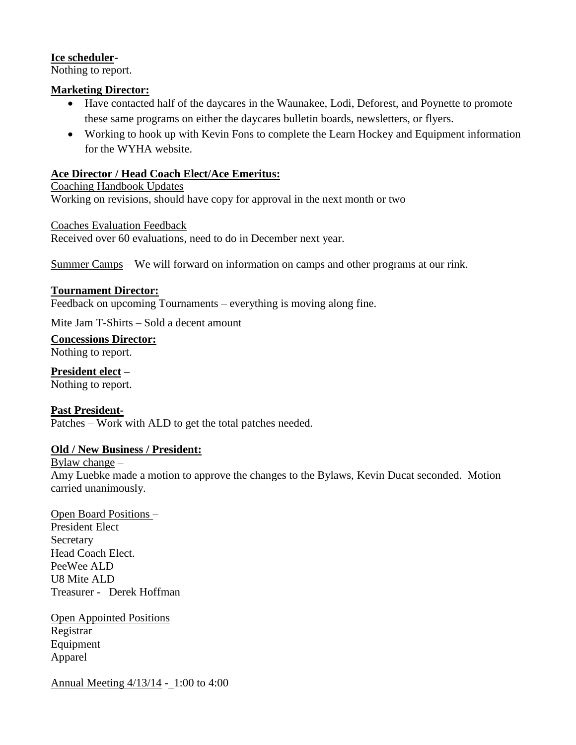### **Ice scheduler-**

Nothing to report.

### **Marketing Director:**

- Have contacted half of the daycares in the Waunakee, Lodi, Deforest, and Poynette to promote these same programs on either the daycares bulletin boards, newsletters, or flyers.
- Working to hook up with Kevin Fons to complete the Learn Hockey and Equipment information for the WYHA website.

## **Ace Director / Head Coach Elect/Ace Emeritus:**

## Coaching Handbook Updates

Working on revisions, should have copy for approval in the next month or two

Coaches Evaluation Feedback

Received over 60 evaluations, need to do in December next year.

Summer Camps – We will forward on information on camps and other programs at our rink.

### **Tournament Director:**

Feedback on upcoming Tournaments – everything is moving along fine.

Mite Jam T-Shirts – Sold a decent amount

**Concessions Director:** Nothing to report.

**President elect –** Nothing to report.

**Past President-**Patches – Work with ALD to get the total patches needed.

### **Old / New Business / President:**

## Bylaw change –

Amy Luebke made a motion to approve the changes to the Bylaws, Kevin Ducat seconded. Motion carried unanimously.

Open Board Positions – President Elect Secretary Head Coach Elect. PeeWee ALD U8 Mite ALD Treasurer - Derek Hoffman

Open Appointed Positions Registrar Equipment Apparel

Annual Meeting 4/13/14 - 1:00 to 4:00